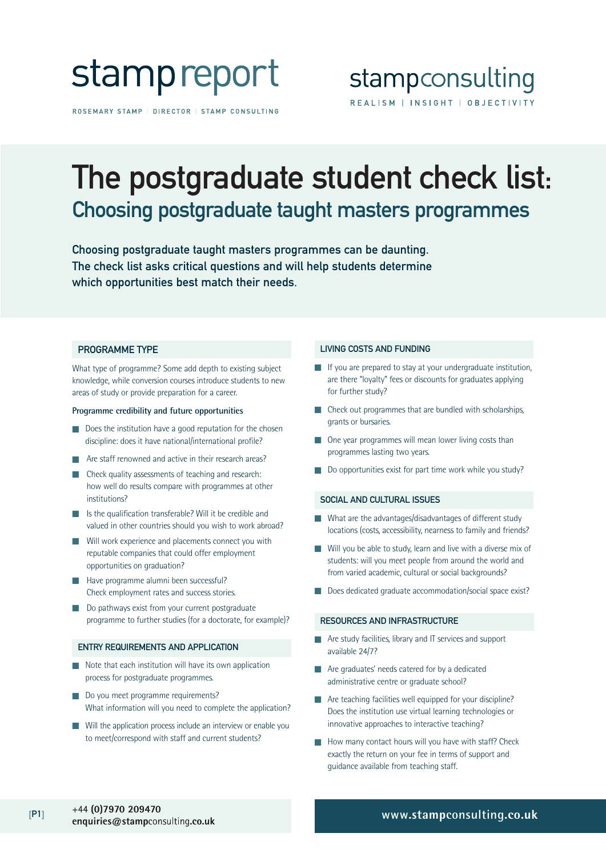

ROSEMARY STAMP | DIRECTOR | STAMP CONSULTING

### stampconsulting REALISM | INSIGHT | OBJECTIVITY

### The postgraduate student check list: Choosing postgraduate taught masters programmes

Choosing postgraduate taught masters programmes can be daunting. The check list asks critical questions and will help students determine which opportunities best match their needs.

#### PROGRAMME TYPE

What type of programme? Some add depth to existing subject knowledge, while conversion courses introduce students to new areas of study or provide preparation for a career.

#### **Programme credibility and future opportunities**

- Does the institution have a good reputation for the chosen discipline: does it have national/international profile?
- Are staff renowned and active in their research areas?
- Check quality assessments of teaching and research: how well do results compare with programmes at other institutions?
- Is the qualification transferable? Will it be credible and valued in other countries should you wish to work abroad?
- Will work experience and placements connect you with reputable companies that could offer employment opportunities on graduation?
- Have programme alumni been successful? Check employment rates and success stories.
- Do pathways exist from your current postgraduate programme to further studies (for a doctorate, for example)?

#### ENTRY REQUIREMENTS AND APPLICATION

- Note that each institution will have its own application process for postgraduate programmes.
- Do you meet programme requirements? What information will you need to complete the application?
- Will the application process include an interview or enable you to meet/correspond with staff and current students?

#### LIVING COSTS AND FUNDING

- If you are prepared to stay at your undergraduate institution, are there "loyalty" fees or discounts for graduates applying for further study?
- Check out programmes that are bundled with scholarships, grants or bursaries.
- One year programmes will mean lower living costs than programmes lasting two years.
- Do opportunities exist for part time work while you study?

#### SOCIAL AND CULTURAL ISSUES

- What are the advantages/disadvantages of different study locations (costs, accessibility, nearness to family and friends?
- Will you be able to study, learn and live with a diverse mix of students: will you meet people from around the world and from varied academic, cultural or social backgrounds?
- Does dedicated graduate accommodation/social space exist?

#### RESOURCES AND INFRASTRUCTURE

- Are study facilities, library and IT services and support available 24/7?
- Are graduates' needs catered for by a dedicated administrative centre or graduate school?
- Are teaching facilities well equipped for your discipline? Does the institution use virtual learning technologies or innovative approaches to interactive teaching?
- How many contact hours will you have with staff? Check exactly the return on your fee in terms of support and guidance available from teaching staff.